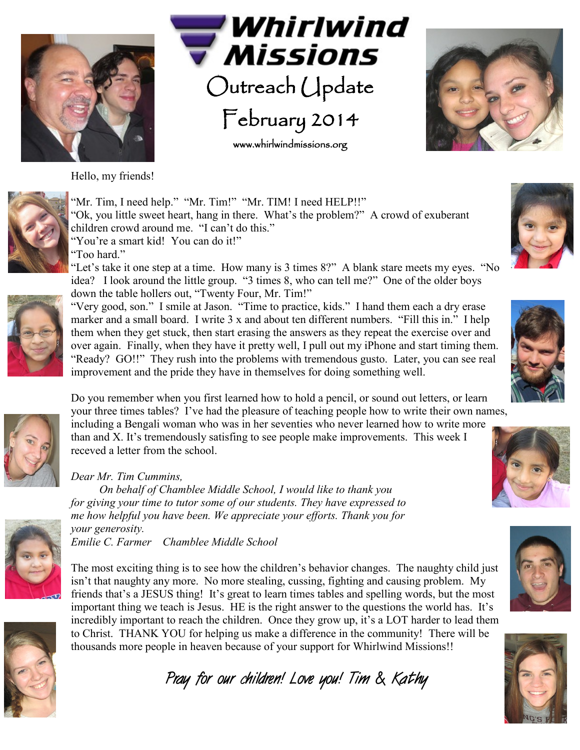

Hello, my friends!





"Mr. Tim, I need help." "Mr. Tim!" "Mr. TIM! I need HELP!!" "Ok, you little sweet heart, hang in there. What's the problem?" A crowd of exuberant children crowd around me. "I can't do this." "You're a smart kid! You can do it!" "Too hard."

"Let's take it one step at a time. How many is 3 times 8?" A blank stare meets my eyes. "No idea? I look around the little group. "3 times 8, who can tell me?" One of the older boys down the table hollers out, "Twenty Four, Mr. Tim!"

Outreach Update

**Missions** 

Whirlwind

February 2014

www.whirlwindmissions.org



"Very good, son." I smile at Jason. "Time to practice, kids." I hand them each a dry erase marker and a small board. I write 3 x and about ten different numbers. "Fill this in." I help them when they get stuck, then start erasing the answers as they repeat the exercise over and over again. Finally, when they have it pretty well, I pull out my iPhone and start timing them. "Ready? GO!!" They rush into the problems with tremendous gusto. Later, you can see real improvement and the pride they have in themselves for doing something well.

Do you remember when you first learned how to hold a pencil, or sound out letters, or learn your three times tables? I've had the pleasure of teaching people how to write their own names, including a Bengali woman who was in her seventies who never learned how to write more than and X. It's tremendously satisfing to see people make improvements. This week I receved a letter from the school.

## *Dear Mr. Tim Cummins,*

*On behalf of Chamblee Middle School, I would like to thank you for giving your time to tutor some of our students. They have expressed to me how helpful you have been. We appreciate your efforts. Thank you for your generosity. Emilie C. Farmer Chamblee Middle School* 



The most exciting thing is to see how the children's behavior changes. The naughty child just isn't that naughty any more. No more stealing, cussing, fighting and causing problem. My friends that's a JESUS thing! It's great to learn times tables and spelling words, but the most important thing we teach is Jesus. HE is the right answer to the questions the world has. It's incredibly important to reach the children. Once they grow up, it's a LOT harder to lead them to Christ. THANK YOU for helping us make a difference in the community! There will be thousands more people in heaven because of your support for Whirlwind Missions!!











**Pray for our children! Love you! Tim & Kathy**